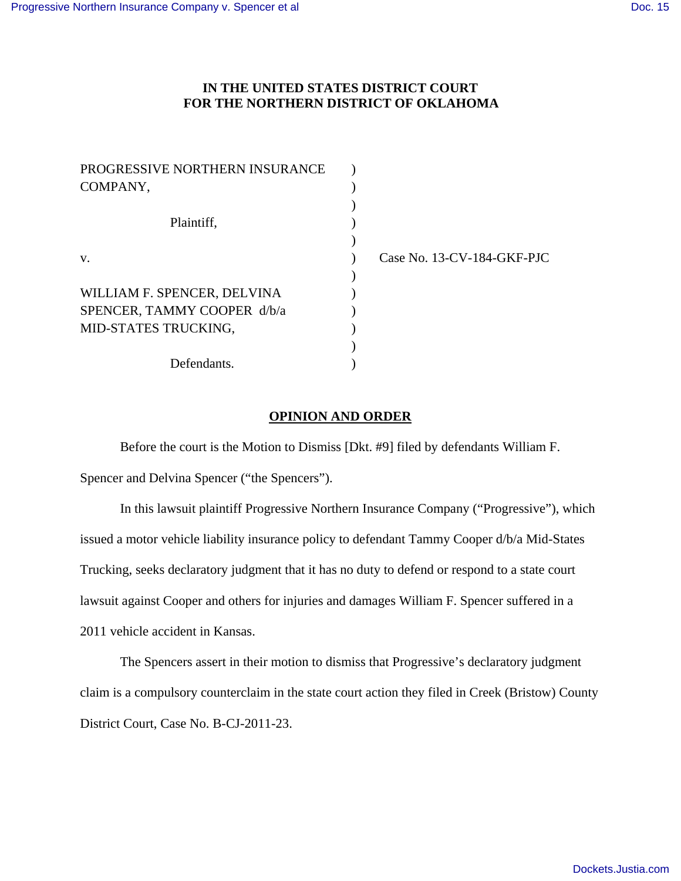## **IN THE UNITED STATES DISTRICT COURT FOR THE NORTHERN DISTRICT OF OKLAHOMA**

| PROGRESSIVE NORTHERN INSURANCE |                            |
|--------------------------------|----------------------------|
| COMPANY,                       |                            |
|                                |                            |
| Plaintiff,                     |                            |
|                                |                            |
| V.                             | Case No. 13-CV-184-GKF-PJC |
|                                |                            |
| WILLIAM F. SPENCER, DELVINA    |                            |
| SPENCER, TAMMY COOPER d/b/a    |                            |
| MID-STATES TRUCKING,           |                            |
|                                |                            |
| Defendants.                    |                            |

## **OPINION AND ORDER**

Before the court is the Motion to Dismiss [Dkt. #9] filed by defendants William F.

Spencer and Delvina Spencer ("the Spencers").

In this lawsuit plaintiff Progressive Northern Insurance Company ("Progressive"), which issued a motor vehicle liability insurance policy to defendant Tammy Cooper d/b/a Mid-States Trucking, seeks declaratory judgment that it has no duty to defend or respond to a state court lawsuit against Cooper and others for injuries and damages William F. Spencer suffered in a 2011 vehicle accident in Kansas.

 The Spencers assert in their motion to dismiss that Progressive's declaratory judgment claim is a compulsory counterclaim in the state court action they filed in Creek (Bristow) County District Court, Case No. B-CJ-2011-23.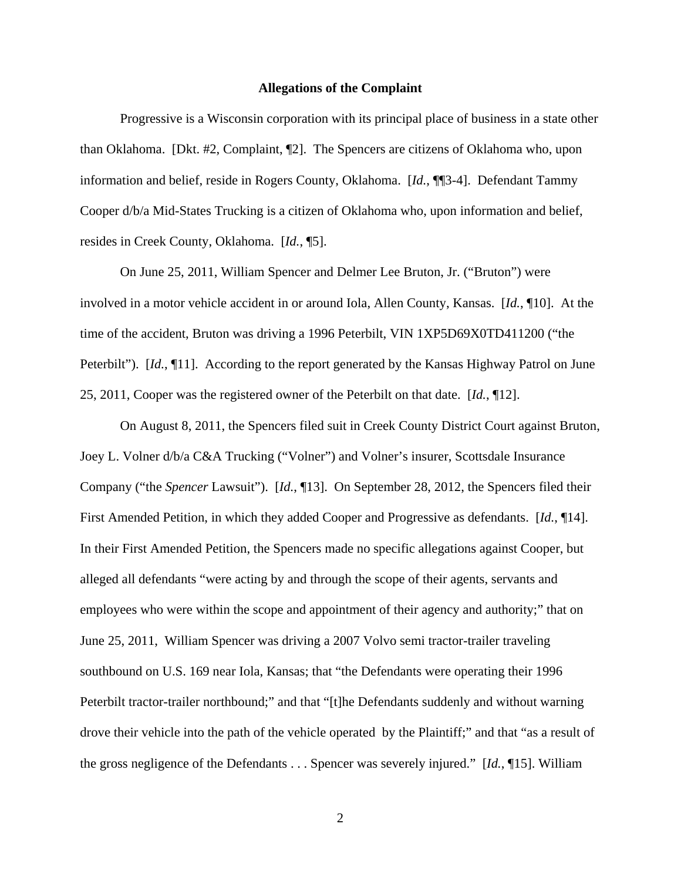## **Allegations of the Complaint**

 Progressive is a Wisconsin corporation with its principal place of business in a state other than Oklahoma. [Dkt. #2, Complaint, ¶2]. The Spencers are citizens of Oklahoma who, upon information and belief, reside in Rogers County, Oklahoma. [*Id.*, ¶¶3-4]. Defendant Tammy Cooper d/b/a Mid-States Trucking is a citizen of Oklahoma who, upon information and belief, resides in Creek County, Oklahoma. [*Id.*, ¶5].

 On June 25, 2011, William Spencer and Delmer Lee Bruton, Jr. ("Bruton") were involved in a motor vehicle accident in or around Iola, Allen County, Kansas. [*Id.*, ¶10]. At the time of the accident, Bruton was driving a 1996 Peterbilt, VIN 1XP5D69X0TD411200 ("the Peterbilt"). [*Id.*, ¶11]. According to the report generated by the Kansas Highway Patrol on June 25, 2011, Cooper was the registered owner of the Peterbilt on that date. [*Id.*, ¶12].

 On August 8, 2011, the Spencers filed suit in Creek County District Court against Bruton, Joey L. Volner d/b/a C&A Trucking ("Volner") and Volner's insurer, Scottsdale Insurance Company ("the *Spencer* Lawsuit"). [*Id.*, ¶13]. On September 28, 2012, the Spencers filed their First Amended Petition, in which they added Cooper and Progressive as defendants. [*Id.*, ¶14]. In their First Amended Petition, the Spencers made no specific allegations against Cooper, but alleged all defendants "were acting by and through the scope of their agents, servants and employees who were within the scope and appointment of their agency and authority;" that on June 25, 2011, William Spencer was driving a 2007 Volvo semi tractor-trailer traveling southbound on U.S. 169 near Iola, Kansas; that "the Defendants were operating their 1996 Peterbilt tractor-trailer northbound;" and that "[t]he Defendants suddenly and without warning drove their vehicle into the path of the vehicle operated by the Plaintiff;" and that "as a result of the gross negligence of the Defendants . . . Spencer was severely injured." [*Id.*, ¶15]. William

2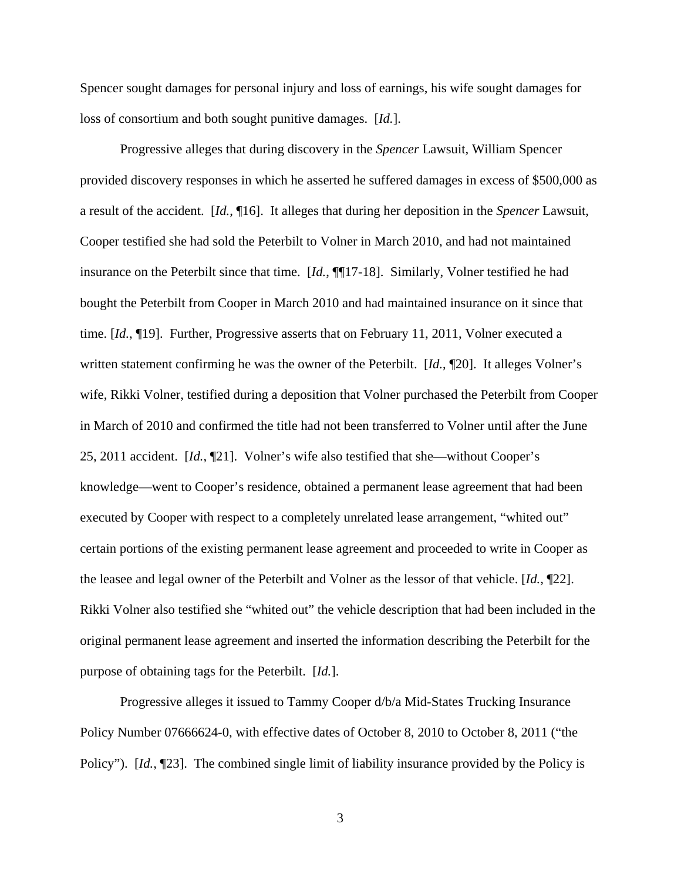Spencer sought damages for personal injury and loss of earnings, his wife sought damages for loss of consortium and both sought punitive damages. [*Id.*].

 Progressive alleges that during discovery in the *Spencer* Lawsuit, William Spencer provided discovery responses in which he asserted he suffered damages in excess of \$500,000 as a result of the accident. [*Id.*, ¶16]. It alleges that during her deposition in the *Spencer* Lawsuit, Cooper testified she had sold the Peterbilt to Volner in March 2010, and had not maintained insurance on the Peterbilt since that time. [*Id.*, ¶¶17-18]. Similarly, Volner testified he had bought the Peterbilt from Cooper in March 2010 and had maintained insurance on it since that time. [*Id.*, ¶19]. Further, Progressive asserts that on February 11, 2011, Volner executed a written statement confirming he was the owner of the Peterbilt. [*Id.*, ¶20]. It alleges Volner's wife, Rikki Volner, testified during a deposition that Volner purchased the Peterbilt from Cooper in March of 2010 and confirmed the title had not been transferred to Volner until after the June 25, 2011 accident. [*Id.*, ¶21]. Volner's wife also testified that she—without Cooper's knowledge—went to Cooper's residence, obtained a permanent lease agreement that had been executed by Cooper with respect to a completely unrelated lease arrangement, "whited out" certain portions of the existing permanent lease agreement and proceeded to write in Cooper as the leasee and legal owner of the Peterbilt and Volner as the lessor of that vehicle. [*Id.*, ¶22]. Rikki Volner also testified she "whited out" the vehicle description that had been included in the original permanent lease agreement and inserted the information describing the Peterbilt for the purpose of obtaining tags for the Peterbilt. [*Id.*].

 Progressive alleges it issued to Tammy Cooper d/b/a Mid-States Trucking Insurance Policy Number 07666624-0, with effective dates of October 8, 2010 to October 8, 2011 ("the Policy"). [*Id.*, ¶23]. The combined single limit of liability insurance provided by the Policy is

3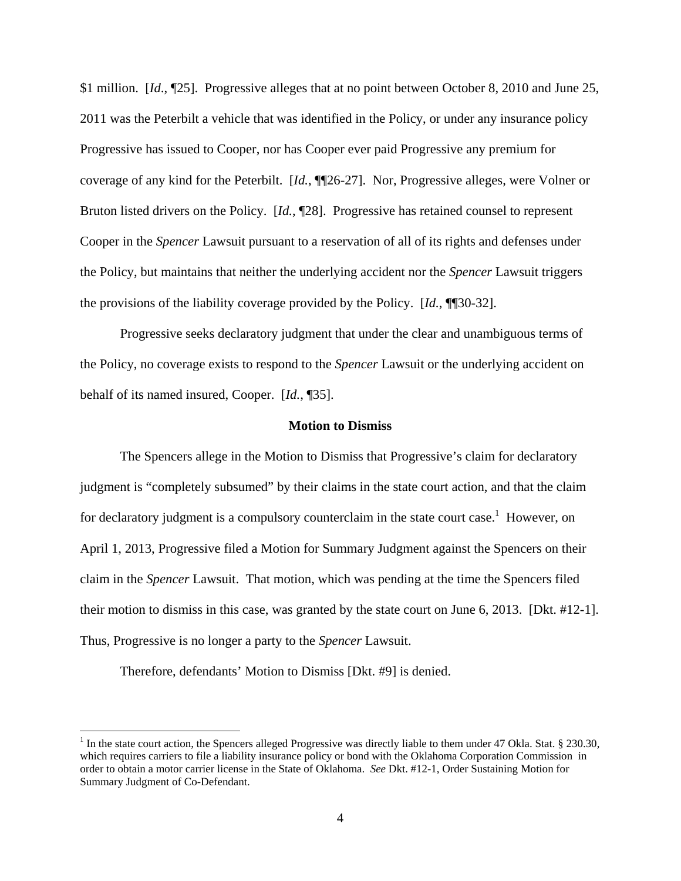\$1 million. [*Id*., ¶25]. Progressive alleges that at no point between October 8, 2010 and June 25, 2011 was the Peterbilt a vehicle that was identified in the Policy, or under any insurance policy Progressive has issued to Cooper, nor has Cooper ever paid Progressive any premium for coverage of any kind for the Peterbilt. [*Id.*, ¶¶26-27]. Nor, Progressive alleges, were Volner or Bruton listed drivers on the Policy. [*Id.*, ¶28]. Progressive has retained counsel to represent Cooper in the *Spencer* Lawsuit pursuant to a reservation of all of its rights and defenses under the Policy, but maintains that neither the underlying accident nor the *Spencer* Lawsuit triggers the provisions of the liability coverage provided by the Policy. [*Id.*, ¶¶30-32].

 Progressive seeks declaratory judgment that under the clear and unambiguous terms of the Policy, no coverage exists to respond to the *Spencer* Lawsuit or the underlying accident on behalf of its named insured, Cooper. [*Id.*, ¶35].

## **Motion to Dismiss**

 The Spencers allege in the Motion to Dismiss that Progressive's claim for declaratory judgment is "completely subsumed" by their claims in the state court action, and that the claim for declaratory judgment is a compulsory counterclaim in the state court case.<sup>1</sup> However, on April 1, 2013, Progressive filed a Motion for Summary Judgment against the Spencers on their claim in the *Spencer* Lawsuit. That motion, which was pending at the time the Spencers filed their motion to dismiss in this case, was granted by the state court on June 6, 2013. [Dkt. #12-1]. Thus, Progressive is no longer a party to the *Spencer* Lawsuit.

Therefore, defendants' Motion to Dismiss [Dkt. #9] is denied.

 $\overline{a}$ 

 $1$  In the state court action, the Spencers alleged Progressive was directly liable to them under 47 Okla. Stat. § 230.30, which requires carriers to file a liability insurance policy or bond with the Oklahoma Corporation Commission in order to obtain a motor carrier license in the State of Oklahoma. *See* Dkt. #12-1, Order Sustaining Motion for Summary Judgment of Co-Defendant.